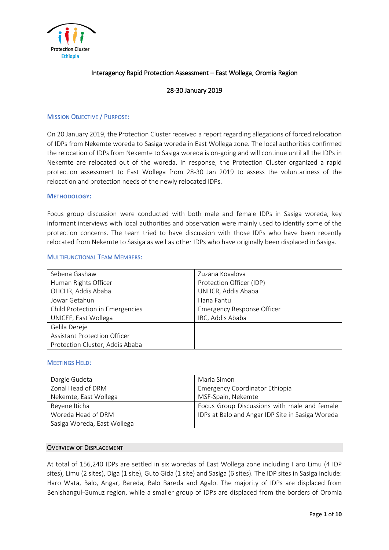

# Interagency Rapid Protection Assessment – East Wollega, Oromia Region

# 28-30 January 2019

### MISSION OBJECTIVE / PURPOSE:

On 20 January 2019, the Protection Cluster received a report regarding allegations of forced relocation of IDPs from Nekemte woreda to Sasiga woreda in East Wollega zone. The local authorities confirmed the relocation of IDPs from Nekemte to Sasiga woreda is on-going and will continue until all the IDPs in Nekemte are relocated out of the woreda. In response, the Protection Cluster organized a rapid protection assessment to East Wollega from 28-30 Jan 2019 to assess the voluntariness of the relocation and protection needs of the newly relocated IDPs.

#### **METHODOLOGY:**

Focus group discussion were conducted with both male and female IDPs in Sasiga woreda, key informant interviews with local authorities and observation were mainly used to identify some of the protection concerns. The team tried to have discussion with those IDPs who have been recently relocated from Nekemte to Sasiga as well as other IDPs who have originally been displaced in Sasiga.

#### MULTIFUNCTIONAL TEAM MEMBERS:

| Sebena Gashaw                       | Zuzana Kovalova            |  |
|-------------------------------------|----------------------------|--|
| Human Rights Officer                | Protection Officer (IDP)   |  |
| OHCHR, Addis Ababa                  | UNHCR, Addis Ababa         |  |
| Jowar Getahun                       | Hana Fantu                 |  |
| Child Protection in Emergencies     | Emergency Response Officer |  |
| UNICEF, East Wollega                | IRC, Addis Ababa           |  |
| Gelila Dereje                       |                            |  |
| <b>Assistant Protection Officer</b> |                            |  |
| Protection Cluster, Addis Ababa     |                            |  |

#### MEETINGS HELD:

| Dargie Gudeta               | Maria Simon                                      |
|-----------------------------|--------------------------------------------------|
| Zonal Head of DRM           | Emergency Coordinator Ethiopia                   |
| Nekemte, East Wollega       | MSF-Spain, Nekemte                               |
| Beyene Iticha               | Focus Group Discussions with male and female     |
| Woreda Head of DRM          | IDPs at Balo and Angar IDP Site in Sasiga Woreda |
| Sasiga Woreda, East Wollega |                                                  |

### OVERVIEW OF DISPLACEMENT

At total of 156,240 IDPs are settled in six woredas of East Wollega zone including Haro Limu (4 IDP sites), Limu (2 sites), Diga (1 site), Guto Gida (1 site) and Sasiga (6 sites). The IDP sites in Sasiga include: Haro Wata, Balo, Angar, Bareda, Balo Bareda and Agalo. The majority of IDPs are displaced from Benishangul-Gumuz region, while a smaller group of IDPs are displaced from the borders of Oromia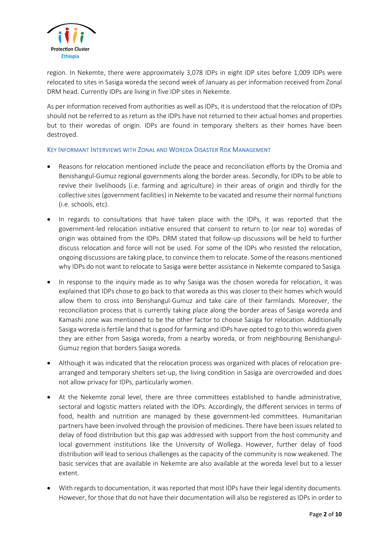

region. In Nekemte, there were approximately 3,078 IDPs in eight IDP sites before 1,009 IDPs were relocated to sites in Sasiga woreda the second week of January as per information received from Zonal DRM head. Currently IDPs are living in five IDP sites in Nekemte.

As per information received from authorities as well as IDPs, it is understood that the relocation of IDPs should not be referred to as return as the IDPs have not returned to their actual homes and properties but to their woredas of origin. IDPs are found in temporary shelters as their homes have been destroyed.

# KEY INFORMANT INTERVIEWS WITH ZONAL AND WOREDA DISASTER RISK MANAGEMENT

- Reasons for relocation mentioned include the peace and reconciliation efforts by the Oromia and Benishangul-Gumuz regional governments along the border areas. Secondly, for IDPs to be able to revive their livelihoods (i.e. farming and agriculture) in their areas of origin and thirdly for the collective sites (government facilities) in Nekemte to be vacated and resume their normal functions (i.e. schools, etc).
- In regards to consultations that have taken place with the IDPs, it was reported that the government-led relocation initiative ensured that consent to return to (or near to) woredas of origin was obtained from the IDPs. DRM stated that follow-up discussions will be held to further discuss relocation and force will not be used. For some of the IDPs who resisted the relocation, ongoing discussions are taking place, to convince them to relocate. Some of the reasons mentioned why IDPs do not want to relocate to Sasiga were better assistance in Nekemte compared to Sasiga.
- In response to the inquiry made as to why Sasiga was the chosen woreda for relocation, it was explained that IDPs chose to go back to that woreda as this was closer to their homes which would allow them to cross into Benshangul-Gumuz and take care of their farmlands. Moreover, the reconciliation process that is currently taking place along the border areas of Sasiga woreda and Kamashi zone was mentioned to be the other factor to choose Sasiga for relocation. Additionally Sasiga woreda isfertile land that is good for farming and IDPs have opted to go to this woreda given they are either from Sasiga woreda, from a nearby woreda, or from neighbouring Benishangul-Gumuz region that borders Sasiga woreda.
- Although it was indicated that the relocation process was organized with places of relocation prearranged and temporary shelters set-up, the living condition in Sasiga are overcrowded and does not allow privacy for IDPs, particularly women.
- At the Nekemte zonal level, there are three committees established to handle administrative, sectoral and logistic matters related with the IDPs. Accordingly, the different services in terms of food, health and nutrition are managed by these government-led committees. Humanitarian partners have been involved through the provision of medicines. There have been issues related to delay of food distribution but this gap was addressed with support from the host community and local government institutions like the University of Wollega. However, further delay of food distribution will lead to serious challenges as the capacity of the community is now weakened. The basic services that are available in Nekemte are also available at the woreda level but to a lesser extent.
- With regardsto documentation, it was reported that most IDPs have their legal identity documents. However, for those that do not have their documentation will also be registered as IDPs in order to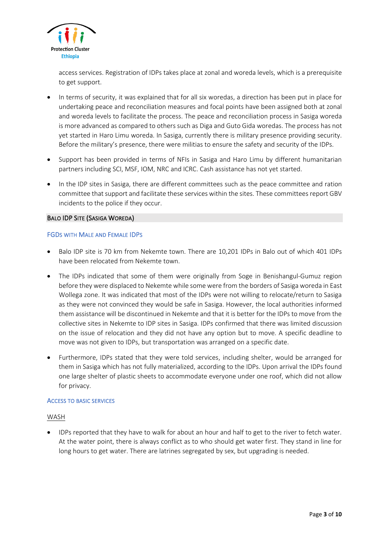

access services. Registration of IDPs takes place at zonal and woreda levels, which is a prerequisite to get support.

- In terms of security, it was explained that for all six woredas, a direction has been put in place for undertaking peace and reconciliation measures and focal points have been assigned both at zonal and woreda levels to facilitate the process. The peace and reconciliation process in Sasiga woreda is more advanced as compared to others such as Diga and Guto Gida woredas. The process has not yet started in Haro Limu woreda. In Sasiga, currently there is military presence providing security. Before the military's presence, there were militias to ensure the safety and security of the IDPs.
- Support has been provided in terms of NFIs in Sasiga and Haro Limu by different humanitarian partners including SCI, MSF, IOM, NRC and ICRC. Cash assistance has not yet started.
- In the IDP sites in Sasiga, there are different committees such as the peace committee and ration committee that support and facilitate these services within the sites. These committees report GBV incidents to the police if they occur.

### BALO IDP SITE (SASIGA WOREDA)

### FGDS WITH MALE AND FEMALE IDPS

- Balo IDP site is 70 km from Nekemte town. There are 10,201 IDPs in Balo out of which 401 IDPs have been relocated from Nekemte town.
- The IDPs indicated that some of them were originally from Soge in Benishangul-Gumuz region before they were displaced to Nekemte while some were from the borders of Sasiga woreda in East Wollega zone. It was indicated that most of the IDPs were not willing to relocate/return to Sasiga as they were not convinced they would be safe in Sasiga. However, the local authorities informed them assistance will be discontinued in Nekemte and that it is better for the IDPs to move from the collective sites in Nekemte to IDP sites in Sasiga. IDPs confirmed that there was limited discussion on the issue of relocation and they did not have any option but to move. A specific deadline to move was not given to IDPs, but transportation was arranged on a specific date.
- Furthermore, IDPs stated that they were told services, including shelter, would be arranged for them in Sasiga which has not fully materialized, according to the IDPs. Upon arrival the IDPs found one large shelter of plastic sheets to accommodate everyone under one roof, which did not allow for privacy.

#### ACCESS TO BASIC SERVICES

# WASH

 IDPs reported that they have to walk for about an hour and half to get to the river to fetch water. At the water point, there is always conflict as to who should get water first. They stand in line for long hours to get water. There are latrines segregated by sex, but upgrading is needed.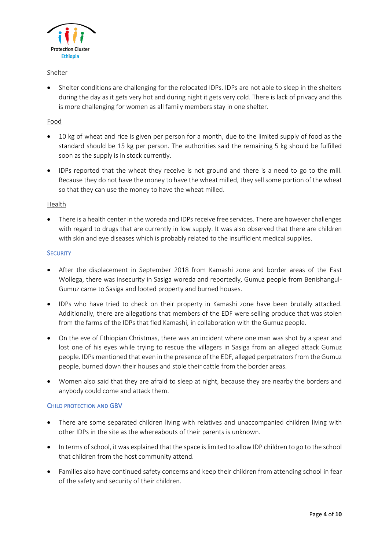

# Shelter

 Shelter conditions are challenging for the relocated IDPs. IDPs are not able to sleep in the shelters during the day as it gets very hot and during night it gets very cold. There is lack of privacy and this is more challenging for women as all family members stay in one shelter.

# Food

- 10 kg of wheat and rice is given per person for a month, due to the limited supply of food as the standard should be 15 kg per person. The authorities said the remaining 5 kg should be fulfilled soon as the supply is in stock currently.
- IDPs reported that the wheat they receive is not ground and there is a need to go to the mill. Because they do not have the money to have the wheat milled, they sell some portion of the wheat so that they can use the money to have the wheat milled.

# Health

 There is a health center in the woreda and IDPs receive free services. There are however challenges with regard to drugs that are currently in low supply. It was also observed that there are children with skin and eye diseases which is probably related to the insufficient medical supplies.

### **SECURITY**

- After the displacement in September 2018 from Kamashi zone and border areas of the East Wollega, there was insecurity in Sasiga woreda and reportedly, Gumuz people from Benishangul-Gumuz came to Sasiga and looted property and burned houses.
- IDPs who have tried to check on their property in Kamashi zone have been brutally attacked. Additionally, there are allegations that members of the EDF were selling produce that was stolen from the farms of the IDPs that fled Kamashi, in collaboration with the Gumuz people.
- On the eve of Ethiopian Christmas, there was an incident where one man was shot by a spear and lost one of his eyes while trying to rescue the villagers in Sasiga from an alleged attack Gumuz people. IDPs mentioned that even in the presence of the EDF, alleged perpetrators from the Gumuz people, burned down their houses and stole their cattle from the border areas.
- Women also said that they are afraid to sleep at night, because they are nearby the borders and anybody could come and attack them.

# CHILD PROTECTION AND GBV

- There are some separated children living with relatives and unaccompanied children living with other IDPs in the site as the whereabouts of their parents is unknown.
- In terms of school, it was explained that the space is limited to allow IDP children to go to the school that children from the host community attend.
- Families also have continued safety concerns and keep their children from attending school in fear of the safety and security of their children.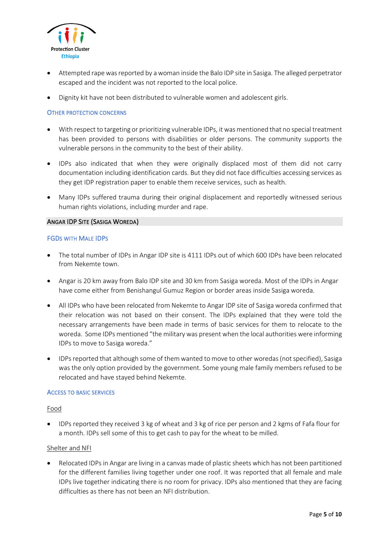

- Attempted rape was reported by a woman inside the Balo IDP site in Sasiga. The alleged perpetrator escaped and the incident was not reported to the local police.
- Dignity kit have not been distributed to vulnerable women and adolescent girls.

# OTHER PROTECTION CONCERNS

- With respect to targeting or prioritizing vulnerable IDPs, it was mentioned that no special treatment has been provided to persons with disabilities or older persons. The community supports the vulnerable persons in the community to the best of their ability.
- IDPs also indicated that when they were originally displaced most of them did not carry documentation including identification cards. But they did not face difficulties accessing services as they get IDP registration paper to enable them receive services, such as health.
- Many IDPs suffered trauma during their original displacement and reportedly witnessed serious human rights violations, including murder and rape.

### ANGAR IDP SITE (SASIGA WOREDA)

### FGDS WITH MALE IDPS

- The total number of IDPs in Angar IDP site is 4111 IDPs out of which 600 IDPs have been relocated from Nekemte town.
- Angar is 20 km away from Balo IDP site and 30 km from Sasiga woreda. Most of the IDPs in Angar have come either from Benishangul Gumuz Region or border areas inside Sasiga woreda.
- All IDPs who have been relocated from Nekemte to Angar IDP site of Sasiga woreda confirmed that their relocation was not based on their consent. The IDPs explained that they were told the necessary arrangements have been made in terms of basic services for them to relocate to the woreda. Some IDPs mentioned "the military was present when the local authorities were informing IDPs to move to Sasiga woreda."
- IDPs reported that although some of them wanted to move to other woredas (not specified), Sasiga was the only option provided by the government. Some young male family members refused to be relocated and have stayed behind Nekemte.

#### ACCESS TO BASIC SERVICES

#### Food

 IDPs reported they received 3 kg of wheat and 3 kg of rice per person and 2 kgms of Fafa flour for a month. IDPs sell some of this to get cash to pay for the wheat to be milled.

#### Shelter and NFI

 Relocated IDPs in Angar are living in a canvas made of plastic sheets which has not been partitioned for the different families living together under one roof. It was reported that all female and male IDPs live together indicating there is no room for privacy. IDPs also mentioned that they are facing difficulties as there has not been an NFI distribution.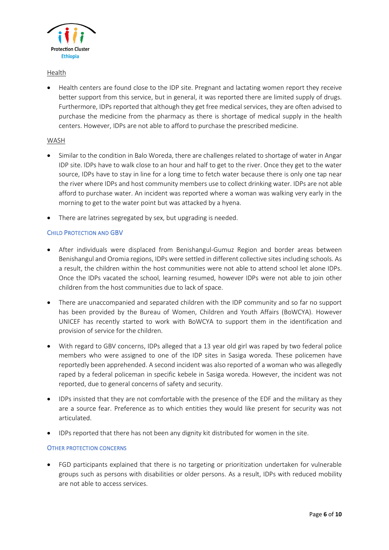

# Health

 Health centers are found close to the IDP site. Pregnant and lactating women report they receive better support from this service, but in general, it was reported there are limited supply of drugs. Furthermore, IDPs reported that although they get free medical services, they are often advised to purchase the medicine from the pharmacy as there is shortage of medical supply in the health centers. However, IDPs are not able to afford to purchase the prescribed medicine.

# WASH

- Similar to the condition in Balo Woreda, there are challenges related to shortage of water in Angar IDP site. IDPs have to walk close to an hour and half to get to the river. Once they get to the water source, IDPs have to stay in line for a long time to fetch water because there is only one tap near the river where IDPs and host community members use to collect drinking water. IDPs are not able afford to purchase water. An incident was reported where a woman was walking very early in the morning to get to the water point but was attacked by a hyena.
- There are latrines segregated by sex, but upgrading is needed.

# CHILD PROTECTION AND GBV

- After individuals were displaced from Benishangul-Gumuz Region and border areas between Benishangul and Oromia regions, IDPs were settled in different collective sites including schools. As a result, the children within the host communities were not able to attend school let alone IDPs. Once the IDPs vacated the school, learning resumed, however IDPs were not able to join other children from the host communities due to lack of space.
- There are unaccompanied and separated children with the IDP community and so far no support has been provided by the Bureau of Women, Children and Youth Affairs (BoWCYA). However UNICEF has recently started to work with BoWCYA to support them in the identification and provision of service for the children.
- With regard to GBV concerns, IDPs alleged that a 13 year old girl was raped by two federal police members who were assigned to one of the IDP sites in Sasiga woreda. These policemen have reportedly been apprehended. A second incident was also reported of a woman who was allegedly raped by a federal policeman in specific kebele in Sasiga woreda. However, the incident was not reported, due to general concerns of safety and security.
- IDPs insisted that they are not comfortable with the presence of the EDF and the military as they are a source fear. Preference as to which entities they would like present for security was not articulated.
- IDPs reported that there has not been any dignity kit distributed for women in the site.

# OTHER PROTECTION CONCERNS

 FGD participants explained that there is no targeting or prioritization undertaken for vulnerable groups such as persons with disabilities or older persons. As a result, IDPs with reduced mobility are not able to access services.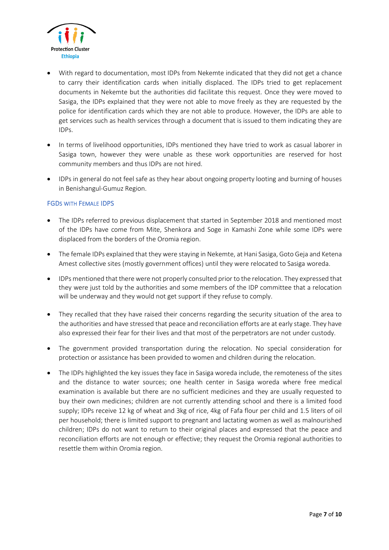

- With regard to documentation, most IDPs from Nekemte indicated that they did not get a chance to carry their identification cards when initially displaced. The IDPs tried to get replacement documents in Nekemte but the authorities did facilitate this request. Once they were moved to Sasiga, the IDPs explained that they were not able to move freely as they are requested by the police for identification cards which they are not able to produce. However, the IDPs are able to get services such as health services through a document that is issued to them indicating they are IDPs.
- In terms of livelihood opportunities, IDPs mentioned they have tried to work as casual laborer in Sasiga town, however they were unable as these work opportunities are reserved for host community members and thus IDPs are not hired.
- IDPs in general do not feel safe as they hear about ongoing property looting and burning of houses in Benishangul-Gumuz Region.

# FGDS WITH FEMALE IDPS

- The IDPs referred to previous displacement that started in September 2018 and mentioned most of the IDPs have come from Mite, Shenkora and Soge in Kamashi Zone while some IDPs were displaced from the borders of the Oromia region.
- The female IDPs explained that they were staying in Nekemte, at Hani Sasiga, Goto Geja and Ketena Amest collective sites (mostly government offices) until they were relocated to Sasiga woreda.
- IDPs mentioned that there were not properly consulted prior to the relocation. They expressed that they were just told by the authorities and some members of the IDP committee that a relocation will be underway and they would not get support if they refuse to comply.
- They recalled that they have raised their concerns regarding the security situation of the area to the authorities and have stressed that peace and reconciliation efforts are at early stage. They have also expressed their fear for their lives and that most of the perpetrators are not under custody.
- The government provided transportation during the relocation. No special consideration for protection or assistance has been provided to women and children during the relocation.
- The IDPs highlighted the key issues they face in Sasiga woreda include, the remoteness of the sites and the distance to water sources; one health center in Sasiga woreda where free medical examination is available but there are no sufficient medicines and they are usually requested to buy their own medicines; children are not currently attending school and there is a limited food supply; IDPs receive 12 kg of wheat and 3kg of rice, 4kg of Fafa flour per child and 1.5 liters of oil per household; there is limited support to pregnant and lactating women as well as malnourished children; IDPs do not want to return to their original places and expressed that the peace and reconciliation efforts are not enough or effective; they request the Oromia regional authorities to resettle them within Oromia region.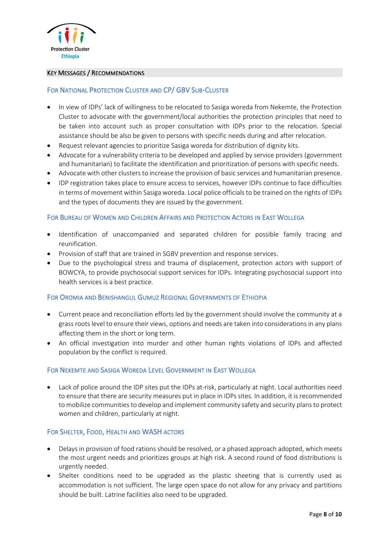

## KEY MESSAGES / RECOMMENDATIONS

# FOR NATIONAL PROTECTION CLUSTER AND CP/ GBV SUB-CLUSTER

- In view of IDPs' lack of willingness to be relocated to Sasiga woreda from Nekemte, the Protection Cluster to advocate with the government/local authorities the protection principles that need to be taken into account such as proper consultation with IDPs prior to the relocation. Special assistance should be also be given to persons with specific needs during and after relocation.
- Request relevant agencies to prioritize Sasiga woreda for distribution of dignity kits.
- Advocate for a vulnerability criteria to be developed and applied by service providers (government and humanitarian) to facilitate the identification and prioritization of persons with specific needs.
- Advocate with other clusters to increase the provision of basic services and humanitarian presence.
- IDP registration takes place to ensure access to services, however IDPs continue to face difficulties in terms of movement within Sasiga woreda. Local police officials to be trained on the rights of IDPs and the types of documents they are issued by the government.

# FOR BUREAU OF WOMEN AND CHILDREN AFFAIRS AND PROTECTION ACTORS IN EAST WOLLEGA

- Identification of unaccompanied and separated children for possible family tracing and reunification.
- Provision of staff that are trained in SGBV prevention and response services.
- Due to the psychological stress and trauma of displacement, protection actors with support of BOWCYA, to provide psychosocial support services for IDPs. Integrating psychosocial support into health services is a best practice.

# FOR OROMIA AND BENISHANGUL GUMUZ REGIONAL GOVERNMENTS OF ETHIOPIA

- Current peace and reconciliation efforts led by the government should involve the community at a grass roots level to ensure their views, options and needs are taken into considerations in any plans affecting them in the short or long term.
- An official investigation into murder and other human rights violations of IDPs and affected population by the conflict is required.

# FOR NEKEMTE AND SASIGA WOREDA LEVEL GOVERNMENT IN EAST WOLLEGA

 Lack of police around the IDP sites put the IDPs at-risk, particularly at night. Local authorities need to ensure that there are security measures put in place in IDPs sites. In addition, it is recommended to mobilize communities to develop and implement community safety and security plans to protect women and children, particularly at night.

# FOR SHELTER, FOOD, HEALTH AND WASH ACTORS

- Delays in provision of food rations should be resolved, or a phased approach adopted, which meets the most urgent needs and prioritizes groups at high risk. A second round of food distributions is urgently needed.
- Shelter conditions need to be upgraded as the plastic sheeting that is currently used as accommodation is not sufficient. The large open space do not allow for any privacy and partitions should be built. Latrine facilities also need to be upgraded.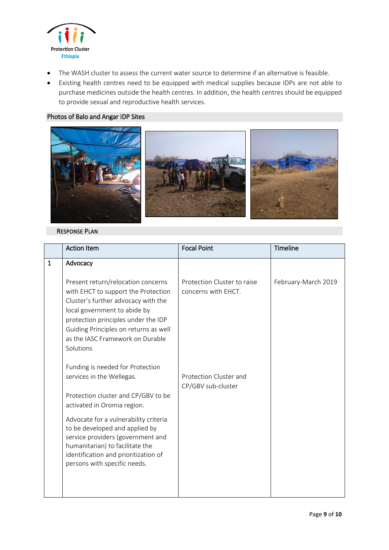

- The WASH cluster to assess the current water source to determine if an alternative is feasible.
- Existing health centres need to be equipped with medical supplies because IDPs are not able to purchase medicines outside the health centres. In addition, the health centres should be equipped to provide sexual and reproductive health services.

# Photos of Balo and Angar IDP Sites



## RESPONSE PLAN

|   | <b>Action Item</b>                                                                                                                                                                                                                                                                | <b>Focal Point</b>                                 | Timeline            |
|---|-----------------------------------------------------------------------------------------------------------------------------------------------------------------------------------------------------------------------------------------------------------------------------------|----------------------------------------------------|---------------------|
| 1 | Advocacy                                                                                                                                                                                                                                                                          |                                                    |                     |
|   | Present return/relocation concerns<br>with EHCT to support the Protection<br>Cluster's further advocacy with the<br>local government to abide by<br>protection principles under the IDP<br>Guiding Principles on returns as well<br>as the IASC Framework on Durable<br>Solutions | Protection Cluster to raise<br>concerns with EHCT. | February-March 2019 |
|   | Funding is needed for Protection<br>services in the Wellegas.                                                                                                                                                                                                                     | Protection Cluster and<br>CP/GBV sub-cluster       |                     |
|   | Protection cluster and CP/GBV to be<br>activated in Oromia region.                                                                                                                                                                                                                |                                                    |                     |
|   | Advocate for a vulnerability criteria<br>to be developed and applied by<br>service providers (government and<br>humanitarian) to facilitate the<br>identification and prioritization of<br>persons with specific needs.                                                           |                                                    |                     |